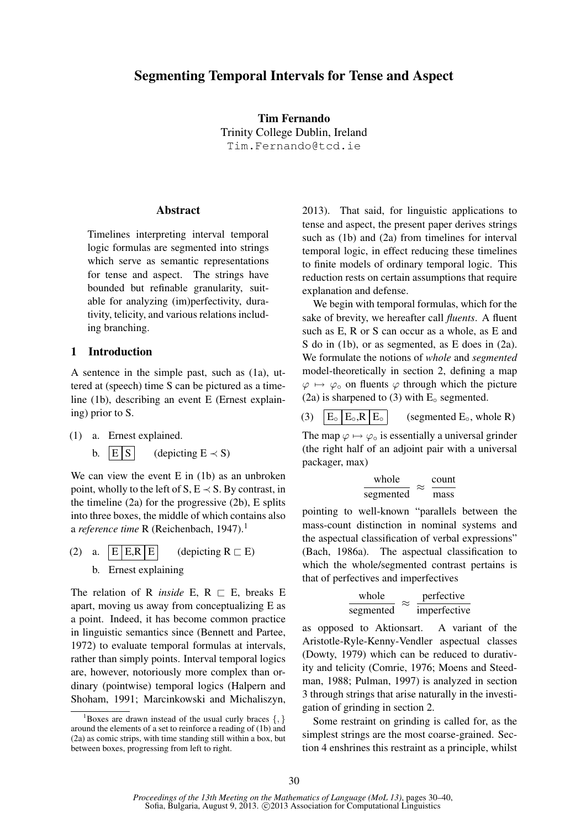# Segmenting Temporal Intervals for Tense and Aspect

Tim Fernando Trinity College Dublin, Ireland Tim.Fernando@tcd.ie

# Abstract

Timelines interpreting interval temporal logic formulas are segmented into strings which serve as semantic representations for tense and aspect. The strings have bounded but refinable granularity, suitable for analyzing (im)perfectivity, durativity, telicity, and various relations including branching.

# 1 Introduction

A sentence in the simple past, such as (1a), uttered at (speech) time S can be pictured as a timeline (1b), describing an event E (Ernest explaining) prior to S.

- (1) a. Ernest explained.
	- b.  $|E|S|$  (depicting  $E \prec S$ )

We can view the event E in (1b) as an unbroken point, wholly to the left of S,  $E \prec S$ . By contrast, in the timeline  $(2a)$  for the progressive  $(2b)$ , E splits into three boxes, the middle of which contains also a *reference time* R (Reichenbach, 1947).<sup>1</sup>

(2) a. 
$$
\boxed{E|E,R|E}
$$
 (depicting  $R \sqsubset E$ )  
b. Ernest explaining

The relation of R *inside* E,  $R \nightharpoonup E$ , breaks E apart, moving us away from conceptualizing E as a point. Indeed, it has become common practice in linguistic semantics since (Bennett and Partee, 1972) to evaluate temporal formulas at intervals, rather than simply points. Interval temporal logics are, however, notoriously more complex than ordinary (pointwise) temporal logics (Halpern and Shoham, 1991; Marcinkowski and Michaliszyn, 2013). That said, for linguistic applications to tense and aspect, the present paper derives strings such as (1b) and (2a) from timelines for interval temporal logic, in effect reducing these timelines to finite models of ordinary temporal logic. This reduction rests on certain assumptions that require explanation and defense.

We begin with temporal formulas, which for the sake of brevity, we hereafter call *fluents*. A fluent such as E, R or S can occur as a whole, as E and S do in (1b), or as segmented, as E does in (2a). We formulate the notions of *whole* and *segmented* model-theoretically in section 2, defining a map  $\varphi \mapsto \varphi_{\rm o}$  on fluents  $\varphi$  through which the picture (2a) is sharpened to (3) with  $E<sub>o</sub>$  segmented.

(3)  $|E_{\circ}|E_{\circ}R|E_{\circ}|$  (segmented  $E_{\circ}$ , whole R) The map  $\varphi \mapsto \varphi \circ$  is essentially a universal grinder (the right half of an adjoint pair with a universal packager, max)

$$
\frac{\text{whole}}{\text{segmented}} \approx \frac{\text{count}}{\text{mass}}
$$

pointing to well-known "parallels between the mass-count distinction in nominal systems and the aspectual classification of verbal expressions" (Bach, 1986a). The aspectual classification to which the whole/segmented contrast pertains is that of perfectives and imperfectives

$$
\frac{\text{whole}}{\text{segmented}} \approx \frac{\text{perfective}}{\text{imperfective}}
$$

as opposed to Aktionsart. A variant of the Aristotle-Ryle-Kenny-Vendler aspectual classes (Dowty, 1979) which can be reduced to durativity and telicity (Comrie, 1976; Moens and Steedman, 1988; Pulman, 1997) is analyzed in section 3 through strings that arise naturally in the investigation of grinding in section 2.

Some restraint on grinding is called for, as the simplest strings are the most coarse-grained. Section 4 enshrines this restraint as a principle, whilst

<sup>&</sup>lt;sup>1</sup>Boxes are drawn instead of the usual curly braces  $\{ , \}$ around the elements of a set to reinforce a reading of (1b) and (2a) as comic strips, with time standing still within a box, but between boxes, progressing from left to right.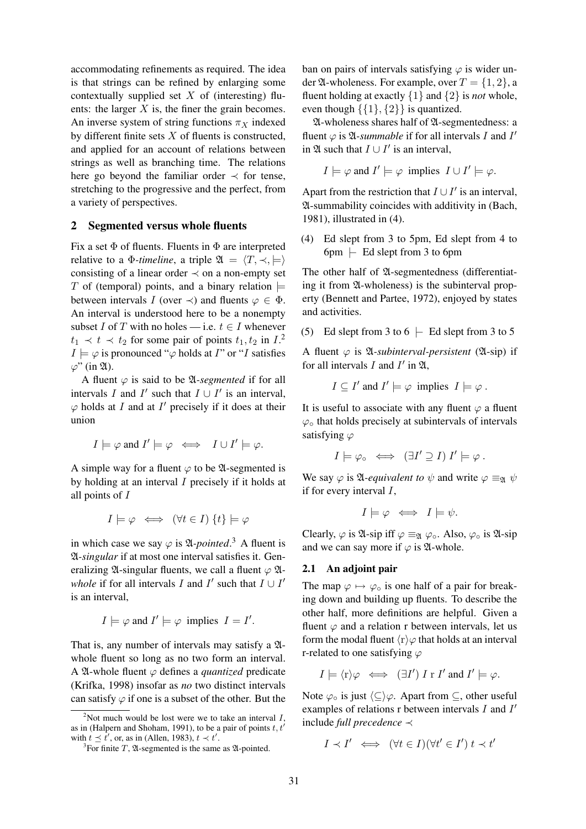accommodating refinements as required. The idea is that strings can be refined by enlarging some contextually supplied set  $X$  of (interesting) fluents: the larger  $X$  is, the finer the grain becomes. An inverse system of string functions  $\pi_X$  indexed by different finite sets  $X$  of fluents is constructed, and applied for an account of relations between strings as well as branching time. The relations here go beyond the familiar order  $\prec$  for tense, stretching to the progressive and the perfect, from a variety of perspectives.

#### 2 Segmented versus whole fluents

Fix a set  $\Phi$  of fluents. Fluents in  $\Phi$  are interpreted relative to a  $\Phi$ -timeline, a triple  $\mathfrak{A} = \langle T, \prec, \models \rangle$ consisting of a linear order  $\prec$  on a non-empty set T of (temporal) points, and a binary relation  $\models$ between intervals I (over  $\prec$ ) and fluents  $\varphi \in \Phi$ . An interval is understood here to be a nonempty subset I of T with no holes — i.e.  $t \in I$  whenever  $t_1 \prec t \prec t_2$  for some pair of points  $t_1, t_2$  in  $I^2$ .  $I \models \varphi$  is pronounced " $\varphi$  holds at I" or "I satisfies  $\varphi$ " (in  $\mathfrak{A}$ ).

A fluent  $\varphi$  is said to be  $\mathfrak A$ -segmented if for all intervals I and I' such that  $I \cup I'$  is an interval,  $\varphi$  holds at *I* and at *I'* precisely if it does at their union

$$
I \models \varphi \text{ and } I' \models \varphi \iff I \cup I' \models \varphi.
$$

A simple way for a fluent  $\varphi$  to be  $\mathfrak{A}$ -segmented is by holding at an interval I precisely if it holds at all points of I

$$
I \models \varphi \iff (\forall t \in I) \{t\} \models \varphi
$$

in which case we say  $\varphi$  is  $\mathfrak{A}\text{-}pointed$ <sup>3</sup>. A fluent is A*-singular* if at most one interval satisfies it. Generalizing  $\mathfrak A$ -singular fluents, we call a fluent  $\varphi \mathfrak A$ *whole* if for all intervals I and I' such that  $I \cup I'$ is an interval,

$$
I \models \varphi
$$
 and  $I' \models \varphi$  implies  $I = I'$ .

That is, any number of intervals may satisfy a  $\mathfrak A$ whole fluent so long as no two form an interval. A  $\mathfrak A$ -whole fluent  $\varphi$  defines a *quantized* predicate (Krifka, 1998) insofar as *no* two distinct intervals can satisfy  $\varphi$  if one is a subset of the other. But the ban on pairs of intervals satisfying  $\varphi$  is wider under  $\mathfrak A$ -wholeness. For example, over  $T = \{1, 2\}$ , a fluent holding at exactly {1} and {2} is *not* whole, even though  $\{\{1\},\{2\}\}\$ is quantized.

A-wholeness shares half of A-segmentedness: a fluent  $\varphi$  is  $\mathfrak A$ -summable if for all intervals I and I' in  $\mathfrak A$  such that  $I \cup I'$  is an interval,

$$
I \models \varphi \text{ and } I' \models \varphi \text{ implies } I \cup I' \models \varphi.
$$

Apart from the restriction that  $I \cup I'$  is an interval, A-summability coincides with additivity in (Bach, 1981), illustrated in (4).

(4) Ed slept from 3 to 5pm, Ed slept from 4 to  $6pm \text{ } \vdash$  Ed slept from 3 to 6pm

The other half of  $\mathfrak A$ -segmentedness (differentiating it from A-wholeness) is the subinterval property (Bennett and Partee, 1972), enjoyed by states and activities.

(5) Ed slept from 3 to 6  $\vdash$  Ed slept from 3 to 5

A fluent  $\varphi$  is  $\mathfrak A$ -subinterval-persistent ( $\mathfrak A$ -sip) if for all intervals  $I$  and  $I'$  in  $\mathfrak{A}$ ,

$$
I \subseteq I'
$$
 and  $I' \models \varphi$  implies  $I \models \varphi$ .

It is useful to associate with any fluent  $\varphi$  a fluent  $\varphi$  that holds precisely at subintervals of intervals satisfying  $\varphi$ 

$$
I \models \varphi \circ \iff (\exists I' \supseteq I) \ I' \models \varphi.
$$

We say  $\varphi$  is  $\mathfrak{A}$ -*equivalent to*  $\psi$  and write  $\varphi \equiv_{\mathfrak{A}} \psi$ if for every interval  $I$ ,

$$
I \models \varphi \iff I \models \psi.
$$

Clearly,  $\varphi$  is  $\mathfrak A$ -sip iff  $\varphi \equiv_{\mathfrak A} \varphi_{\circ}$ . Also,  $\varphi_{\circ}$  is  $\mathfrak A$ -sip and we can say more if  $\varphi$  is  $\mathfrak{A}\text{-whole}$ .

# 2.1 An adjoint pair

The map  $\varphi \mapsto \varphi_{\circ}$  is one half of a pair for breaking down and building up fluents. To describe the other half, more definitions are helpful. Given a fluent  $\varphi$  and a relation r between intervals, let us form the modal fluent  $\langle r \rangle \varphi$  that holds at an interval r-related to one satisfying  $\varphi$ 

$$
I \models \langle \mathbf{r} \rangle \varphi \iff (\exists I') \; I \; \mathbf{r} \; I' \text{ and } I' \models \varphi.
$$

Note  $\varphi_{\circ}$  is just  $\langle \subseteq \rangle \varphi$ . Apart from  $\subseteq$ , other useful examples of relations  $r$  between intervals  $I$  and  $I'$ include *full precedence* ≺

$$
I \prec I' \iff (\forall t \in I)(\forall t' \in I') \ t \prec t'
$$

<sup>&</sup>lt;sup>2</sup>Not much would be lost were we to take an interval  $I$ , as in (Halpern and Shoham, 1991), to be a pair of points  $t, t'$ with  $t \leq \hat{t}'$ , or, as in (Allen, 1983),  $t \prec t'$ .

<sup>&</sup>lt;sup>3</sup>For finite T,  $\mathfrak A$ -segmented is the same as  $\mathfrak A$ -pointed.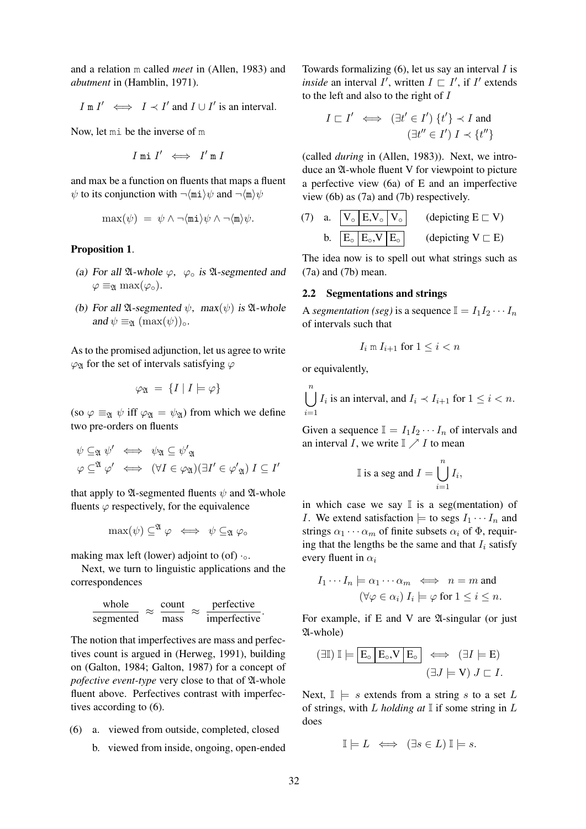and a relation m called *meet* in (Allen, 1983) and *abutment* in (Hamblin, 1971).

$$
I \text{ m } I' \iff I \prec I' \text{ and } I \cup I' \text{ is an interval.}
$$

Now, let mi be the inverse of m

$$
I \text{ mi } I' \iff I' \text{ m } I
$$

and max be a function on fluents that maps a fluent  $\psi$  to its conjunction with  $\neg$ (mi) $\psi$  and  $\neg$ (m) $\psi$ 

$$
\max(\psi) = \psi \wedge \neg \langle \mathtt{mi} \rangle \psi \wedge \neg \langle \mathtt{m} \rangle \psi.
$$

#### Proposition 1.

- (a) For all  $\mathfrak A$ -whole  $\varphi$ ,  $\varphi$ <sub>o</sub> is  $\mathfrak A$ -segmented and  $\varphi \equiv_{\mathfrak{A}} \max(\varphi_{\circ}).$
- (b) For all  $\mathfrak{A}$ -segmented  $\psi$ , max $(\psi)$  is  $\mathfrak{A}$ -whole and  $\psi \equiv_{\mathfrak{A}} (\max(\psi))_o$ .

As to the promised adjunction, let us agree to write  $\varphi$ <sub>Q</sub> for the set of intervals satisfying  $\varphi$ 

$$
\varphi_{\mathfrak{A}} = \{ I \mid I \models \varphi \}
$$

(so  $\varphi \equiv_{\mathfrak{A}} \psi$  iff  $\varphi_{\mathfrak{A}} = \psi_{\mathfrak{A}}$ ) from which we define two pre-orders on fluents

$$
\begin{array}{rcl}\n\psi \subseteq_{\mathfrak{A}} \psi' & \iff & \psi_{\mathfrak{A}} \subseteq \psi'_{\mathfrak{A}} \\
\varphi \subseteq^{\mathfrak{A}} \varphi' & \iff & (\forall I \in \varphi_{\mathfrak{A}})(\exists I' \in \varphi'_{\mathfrak{A}}) \ I \subseteq I'\n\end{array}
$$

that apply to  $\mathfrak A$ -segmented fluents  $\psi$  and  $\mathfrak A$ -whole fluents  $\varphi$  respectively, for the equivalence

$$
\max(\psi) \subseteq^{\mathfrak{A}} \varphi \iff \psi \subseteq_{\mathfrak{A}} \varphi_{\circ}
$$

making max left (lower) adjoint to (of)  $·_0$ .

Next, we turn to linguistic applications and the correspondences

$$
\frac{\text{whole}}{\text{segmented}} \approx \frac{\text{count}}{\text{mass}} \approx \frac{\text{perfective}}{\text{imperfective}}.
$$

The notion that imperfectives are mass and perfectives count is argued in (Herweg, 1991), building on (Galton, 1984; Galton, 1987) for a concept of *pofective event-type* very close to that of  $\mathfrak A$ -whole fluent above. Perfectives contrast with imperfectives according to (6).

- (6) a. viewed from outside, completed, closed
	- b. viewed from inside, ongoing, open-ended

Towards formalizing  $(6)$ , let us say an interval I is *inside* an interval  $I'$ , written  $I \sqsubset I'$ , if  $I'$  extends to the left and also to the right of I

$$
I \sqsubset I' \iff (\exists t' \in I') \ \{t'\} \prec I \text{ and}
$$

$$
(\exists t'' \in I') \ I \prec \{t''\}
$$

(called *during* in (Allen, 1983)). Next, we introduce an  $\mathfrak A$ -whole fluent V for viewpoint to picture a perfective view (6a) of E and an imperfective view (6b) as (7a) and (7b) respectively.

(7) a. 
$$
\boxed{V_{\circ} \mid E, V_{\circ} \mid V_{\circ}}
$$
 (depicting  $E \subset V$ )  
b.  $\boxed{E_{\circ} \mid E_{\circ}, V \mid E_{\circ}}$  (depicting  $V \subset E$ )

The idea now is to spell out what strings such as (7a) and (7b) mean.

### 2.2 Segmentations and strings

A *segmentation (seg)* is a sequence  $I = I_1 I_2 \cdots I_n$ of intervals such that

$$
I_i \mathrel{\mathop{\mathrm{m}}\nolimits} I_{i+1} \text{ for } 1 \leq i < n
$$

or equivalently,

 $\bigcup_{i=1}^{n} I_i$  is an interval, and  $I_i \prec I_{i+1}$  for  $1 \leq i < n$ .  $i=1$ 

Given a sequence  $\mathbb{I} = I_1 I_2 \cdots I_n$  of intervals and an interval I, we write  $\mathbb{I} \nearrow I$  to mean

I is a seg and 
$$
I = \bigcup_{i=1}^{n} I_i
$$
,

in which case we say  $\mathbb I$  is a seg(mentation) of *I*. We extend satisfaction  $\models$  to segs  $I_1 \cdots I_n$  and strings  $\alpha_1 \cdots \alpha_m$  of finite subsets  $\alpha_i$  of  $\Phi$ , requiring that the lengths be the same and that  $I_i$  satisfy every fluent in  $\alpha_i$ 

$$
I_1 \cdots I_n \models \alpha_1 \cdots \alpha_m \iff n = m \text{ and }
$$

$$
(\forall \varphi \in \alpha_i) \ I_i \models \varphi \text{ for } 1 \le i \le n.
$$

For example, if  $E$  and  $V$  are  $\mathfrak{A}$ -singular (or just A-whole)

$$
(\exists \mathbb{I}) \; \mathbb{I} \models \boxed{E_{\circ} \mid E_{\circ}, V \mid E_{\circ}} \iff (\exists I \models E)
$$

$$
(\exists J \models V) \; J \sqsubset I.
$$

Next,  $\mathbb{I} \models s$  extends from a string s to a set L of strings, with L *holding at* I if some string in L does

$$
\mathbb{I} \models L \iff (\exists s \in L) \mathbb{I} \models s.
$$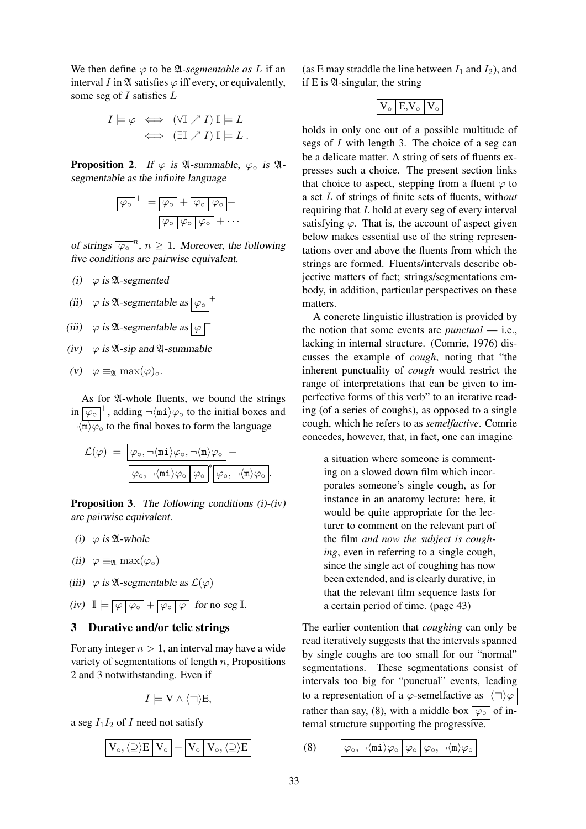We then define  $\varphi$  to be  $\mathfrak{A}$ -segmentable as L if an interval I in  $\mathfrak A$  satisfies  $\varphi$  iff every, or equivalently, some seg of  $I$  satisfies  $L$ 

$$
I \models \varphi \iff (\forall \mathbb{I} \nearrow I) \mathbb{I} \models L
$$

$$
\iff (\exists \mathbb{I} \nearrow I) \mathbb{I} \models L.
$$

**Proposition 2.** If  $\varphi$  is  $\mathfrak{A}$ -summable,  $\varphi_{\circ}$  is  $\mathfrak{A}$ segmentable as the infinite language

$$
\boxed{\varphi_{\circ}}^{+} = \boxed{\varphi_{\circ}} + \boxed{\varphi_{\circ} \boxed{\varphi_{\circ}} +}
$$

$$
\boxed{\varphi_{\circ} \boxed{\varphi_{\circ} \boxed{\varphi_{\circ}} + \cdots}}
$$

of strings  $\boxed{\varphi_{\circ}}^n$ ,  $n \geq 1$ . Moreover, the following five conditions are pairwise equivalent.

- (i)  $\varphi$  is  $\mathfrak A$ -segmented
- (ii)  $\varphi$  is  $\mathfrak{A}$ -segmentable as  $\overline{|\varphi_{\circ}|}^+$
- (iii)  $\varphi$  is  $\mathfrak A$ -segmentable as  $\varphi$ <sup>+</sup>
- (iv)  $\varphi$  is  $\mathfrak A$ -sip and  $\mathfrak A$ -summable

$$
(v) \quad \varphi \equiv_{\mathfrak{A}} \max(\varphi)_{\circ}.
$$

As for  $\mathfrak A$ -whole fluents, we bound the strings in  $\boxed{\varphi_{\circ}}^+$ , adding  $\neg$ (mi) $\varphi_{\circ}$  to the initial boxes and  $\neg \langle \overline{\mathfrak{m}} \rangle \varphi$  to the final boxes to form the language

$$
\mathcal{L}(\varphi) \ = \ \frac{\boxed{\varphi_\circ, \neg \langle \mathtt{mi} \rangle \varphi_\circ, \neg \langle \mathtt{m} \rangle \varphi_\circ \ } +}{\boxed{\varphi_\circ, \neg \langle \mathtt{mi} \rangle \varphi_\circ \ } \varphi_\circ \sqrt[*]{\varphi_\circ, \neg \langle \mathtt{m} \rangle \varphi_\circ \ } }.
$$

**Proposition 3.** The following conditions  $(i)-(iv)$ are pairwise equivalent.

- (i)  $\varphi$  is 21-whole
- (ii)  $\varphi \equiv_{\mathfrak{A}} \max(\varphi_o)$
- (iii)  $\varphi$  is  $\mathfrak{A}$ -segmentable as  $\mathcal{L}(\varphi)$
- (iv)  $\mathbb{I} = \boxed{\varphi \varphi_{\circ}} + \boxed{\varphi_{\circ} \varphi}$  for no seg  $\mathbb{I}$ .

### 3 Durative and/or telic strings

For any integer  $n > 1$ , an interval may have a wide variety of segmentations of length  $n$ , Propositions 2 and 3 notwithstanding. Even if

$$
I \models V \land \langle \sqsupset \rangle E,
$$

a seg  $I_1I_2$  of I need not satisfy

$$
\boxed{V_\circ, \langle {\supseteq} \rangle E\left[\,V_\circ\,\right] + \left[\,V_\circ\,\right]\,V_\circ, \langle {\supseteq} \rangle E\,\right]}
$$

(as E may straddle the line between  $I_1$  and  $I_2$ ), and if  $E$  is  $\mathfrak A$ -singular, the string

$$
\mathbf{V}_{\circ} \mathbf{E} \mathbf{V}_{\circ} \mathbf{V}_{\circ}
$$

holds in only one out of a possible multitude of segs of I with length 3. The choice of a seg can be a delicate matter. A string of sets of fluents expresses such a choice. The present section links that choice to aspect, stepping from a fluent  $\varphi$  to a set L of strings of finite sets of fluents, with*out* requiring that L hold at every seg of every interval satisfying  $\varphi$ . That is, the account of aspect given below makes essential use of the string representations over and above the fluents from which the strings are formed. Fluents/intervals describe objective matters of fact; strings/segmentations embody, in addition, particular perspectives on these matters.

A concrete linguistic illustration is provided by the notion that some events are *punctual* — i.e., lacking in internal structure. (Comrie, 1976) discusses the example of *cough*, noting that "the inherent punctuality of *cough* would restrict the range of interpretations that can be given to imperfective forms of this verb" to an iterative reading (of a series of coughs), as opposed to a single cough, which he refers to as *semelfactive*. Comrie concedes, however, that, in fact, one can imagine

a situation where someone is commenting on a slowed down film which incorporates someone's single cough, as for instance in an anatomy lecture: here, it would be quite appropriate for the lecturer to comment on the relevant part of the film *and now the subject is coughing*, even in referring to a single cough, since the single act of coughing has now been extended, and is clearly durative, in that the relevant film sequence lasts for a certain period of time. (page 43)

The earlier contention that *coughing* can only be read iteratively suggests that the intervals spanned by single coughs are too small for our "normal" segmentations. These segmentations consist of intervals too big for "punctual" events, leading to a representation of a  $\varphi$ -semelfactive as  $|\langle \Box \rangle \varphi$ rather than say, (8), with a middle box  $\boxed{\varphi_{\circ}}$  of internal structure supporting the progressive.

$$
(8) \qquad \left[\varphi_{\circ}, \neg \langle \texttt{mi} \rangle \varphi_{\circ} \middle| \varphi_{\circ} \middle| \varphi_{\circ}, \neg \langle \texttt{m} \rangle \varphi_{\circ} \right]
$$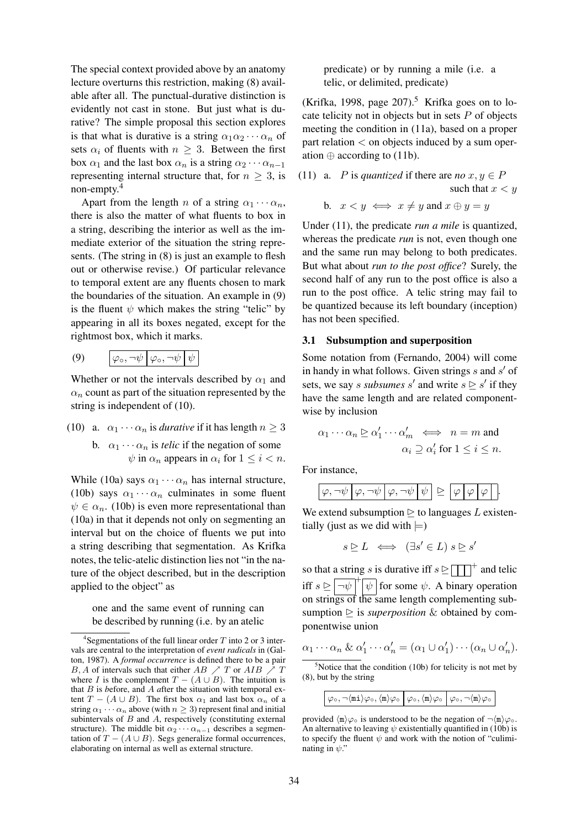The special context provided above by an anatomy lecture overturns this restriction, making (8) available after all. The punctual-durative distinction is evidently not cast in stone. But just what is durative? The simple proposal this section explores is that what is durative is a string  $\alpha_1 \alpha_2 \cdots \alpha_n$  of sets  $\alpha_i$  of fluents with  $n \geq 3$ . Between the first box  $\alpha_1$  and the last box  $\alpha_n$  is a string  $\alpha_2 \cdots \alpha_{n-1}$ representing internal structure that, for  $n \geq 3$ , is non-empty.<sup>4</sup>

Apart from the length n of a string  $\alpha_1 \cdots \alpha_n$ , there is also the matter of what fluents to box in a string, describing the interior as well as the immediate exterior of the situation the string represents. (The string in (8) is just an example to flesh out or otherwise revise.) Of particular relevance to temporal extent are any fluents chosen to mark the boundaries of the situation. An example in (9) is the fluent  $\psi$  which makes the string "telic" by appearing in all its boxes negated, except for the rightmost box, which it marks.

$$
(9) \qquad \boxed{\varphi_{\circ}, \neg \psi \big| \varphi_{\circ}, \neg \psi \big| \psi}
$$

Whether or not the intervals described by  $\alpha_1$  and  $\alpha_n$  count as part of the situation represented by the string is independent of (10).

- (10) a.  $\alpha_1 \cdots \alpha_n$  is *durative* if it has length  $n \geq 3$ 
	- b.  $\alpha_1 \cdots \alpha_n$  is *telic* if the negation of some  $\psi$  in  $\alpha_n$  appears in  $\alpha_i$  for  $1 \leq i < n$ .

While (10a) says  $\alpha_1 \cdots \alpha_n$  has internal structure, (10b) says  $\alpha_1 \cdots \alpha_n$  culminates in some fluent  $\psi \in \alpha_n$ . (10b) is even more representational than (10a) in that it depends not only on segmenting an interval but on the choice of fluents we put into a string describing that segmentation. As Krifka notes, the telic-atelic distinction lies not "in the nature of the object described, but in the description applied to the object" as

one and the same event of running can be described by running (i.e. by an atelic

predicate) or by running a mile (i.e. a telic, or delimited, predicate)

(Krifka, 1998, page  $207$ ).<sup>5</sup> Krifka goes on to locate telicity not in objects but in sets  $P$  of objects meeting the condition in (11a), based on a proper part relation < on objects induced by a sum operation  $\oplus$  according to (11b).

(11) a. *P* is *quantized* if there are 
$$
no \ x, y \in P
$$
  
such that  $x < y$ 

b. 
$$
x < y \iff x \neq y
$$
 and  $x \oplus y = y$ 

Under (11), the predicate *run a mile* is quantized, whereas the predicate *run* is not, even though one and the same run may belong to both predicates. But what about *run to the post office*? Surely, the second half of any run to the post office is also a run to the post office. A telic string may fail to be quantized because its left boundary (inception) has not been specified.

#### 3.1 Subsumption and superposition

Some notation from (Fernando, 2004) will come in handy in what follows. Given strings  $s$  and  $s'$  of sets, we say *s subsumes* s' and write  $s \geq s'$  if they have the same length and are related componentwise by inclusion

$$
\alpha_1 \cdots \alpha_n \trianglerighteq \alpha'_1 \cdots \alpha'_m \iff n = m \text{ and}
$$

$$
\alpha_i \supseteq \alpha'_i \text{ for } 1 \leq i \leq n.
$$

For instance,

$$
\boxed{\varphi, \neg \psi \varphi, \neg \psi \varphi, \neg \psi \psi \psi} \trianglerighteq \boxed{\varphi \varphi \varphi}.
$$

We extend subsumption  $\triangleright$  to languages L existentially (just as we did with  $\models$ )

$$
s \trianglerighteq L \iff (\exists s' \in L) \ s \trianglerighteq s'
$$

so that a string s is durative iff  $s \geq \sqrt{|\cdot|}$  and telic iff  $s \geq \sqrt{-\psi + \psi}$  for some  $\psi$ . A binary operation on strings of the same length complementing subsumption  $\geq$  is *superposition* & obtained by componentwise union

$$
\alpha_1 \cdots \alpha_n \& \alpha'_1 \cdots \alpha'_n = (\alpha_1 \cup \alpha'_1) \cdots (\alpha_n \cup \alpha'_n).
$$

 $5$ Notice that the condition (10b) for telicity is not met by (8), but by the string

|  | $\varphi \circ \varphi, \neg \langle \texttt{mi} \rangle \varphi \circ, \langle \texttt{m} \rangle \varphi \circ \big  \varphi \circ, \langle \texttt{m} \rangle \varphi \circ \big  \varphi \circ, \neg \langle \texttt{m} \rangle \varphi \circ \big $ |  |  |
|--|----------------------------------------------------------------------------------------------------------------------------------------------------------------------------------------------------------------------------------------------------------|--|--|
|--|----------------------------------------------------------------------------------------------------------------------------------------------------------------------------------------------------------------------------------------------------------|--|--|

provided  $\langle m \rangle \varphi \circ$  is understood to be the negation of  $\neg \langle m \rangle \varphi \circ$ . An alternative to leaving  $\psi$  existentially quantified in (10b) is to specify the fluent  $\psi$  and work with the notion of "culiminating in  $\psi$ ."

<sup>&</sup>lt;sup>4</sup>Segmentations of the full linear order  $T$  into 2 or 3 intervals are central to the interpretation of *event radicals* in (Galton, 1987). A *formal occurrence* is defined there to be a pair B, A of intervals such that either AB  $\nearrow T$  or AIB  $\nearrow T$ where I is the complement  $T - (A \cup B)$ . The intuition is that B is *b*efore, and A *a*fter the situation with temporal extent  $T - (A \cup B)$ . The first box  $\alpha_1$  and last box  $\alpha_n$  of a string  $\alpha_1 \cdots \alpha_n$  above (with  $n \geq 3$ ) represent final and initial subintervals of  $B$  and  $A$ , respectively (constituting external structure). The middle bit  $\alpha_2 \cdots \alpha_{n-1}$  describes a segmentation of  $T - (A \cup B)$ . Segs generalize formal occurrences, elaborating on internal as well as external structure.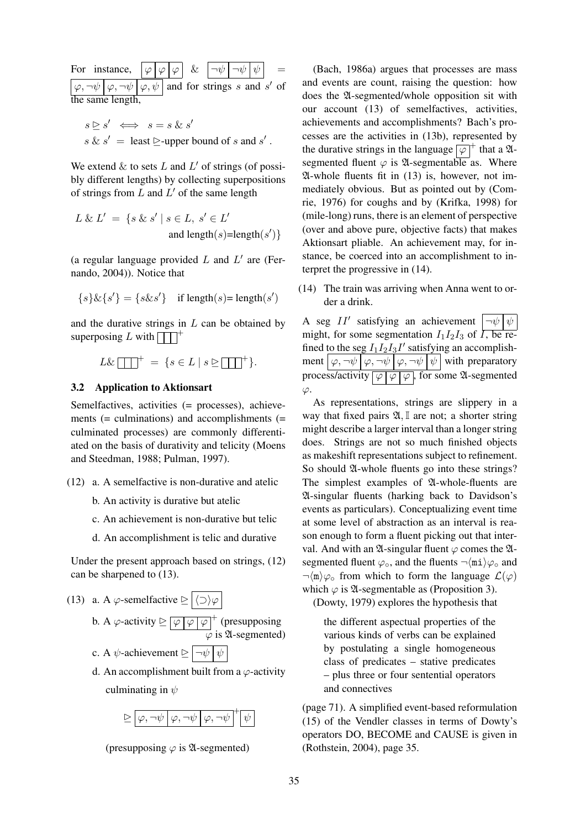For instance.  $\varphi, \neg \psi \, | \, \varphi, \neg \psi \, | \, \varphi, \psi \, |$  and for strings s and s' of the same length,

$$
s \trianglerighteq s' \iff s = s \& s'
$$
  
s 
$$
s \& s' = \text{least } \trianglerighteq \text{-upper bound of } s \text{ and } s'.
$$

We extend  $\&$  to sets  $L$  and  $L'$  of strings (of possibly different lengths) by collecting superpositions of strings from  $L$  and  $L'$  of the same length

$$
L \& L' = \{ s \& s' \mid s \in L, s' \in L' and length(s)=length(s') \}
$$

(a regular language provided  $L$  and  $L'$  are (Fernando, 2004)). Notice that

$$
\{s\} \& \{s'\} = \{s \& s'\} \quad \text{if length}(s) \texttt{= length}(s')
$$

and the durative strings in  $L$  can be obtained by superposing L with  $\Box$ <sup>+</sup>

$$
L\&\boxed{\phantom{a}}^+=\{s\in L\mid s\trianglerighteq\boxed{\phantom{a}}^+\}.
$$

#### 3.2 Application to Aktionsart

Semelfactives, activities (= processes), achievements (= culminations) and accomplishments (= culminated processes) are commonly differentiated on the basis of durativity and telicity (Moens and Steedman, 1988; Pulman, 1997).

- (12) a. A semelfactive is non-durative and atelic
	- b. An activity is durative but atelic
	- c. An achievement is non-durative but telic
	- d. An accomplishment is telic and durative

Under the present approach based on strings, (12) can be sharpened to (13).

- (13) a. A  $\varphi$ -semelfactive  $\trianglerighteq \boxed{\langle \supset \rangle \varphi}$ 
	- b. A  $\varphi$ -activity  $\trianglerighteq \lfloor \varphi \rfloor \varphi \rfloor \varphi^+$  (presupposing  $\overline{\varphi}$  is 24-segmented)

c. A  $\psi$ -achievement  $\triangleright$   $\vert \neg \psi \vert \psi$ 

d. An accomplishment built from a  $\varphi$ -activity culminating in  $\psi$ 

$$
\unrhd \boxed{\varphi, \neg \psi \, \big|\, \varphi, \neg \psi \, \big|\, \varphi, \neg \psi \,\big|^+ \psi}
$$



(Bach, 1986a) argues that processes are mass and events are count, raising the question: how does the A-segmented/whole opposition sit with our account (13) of semelfactives, activities, achievements and accomplishments? Bach's processes are the activities in (13b), represented by the durative strings in the language  $\boxed{\varphi}^+$  that a  $\mathfrak{A}$ segmented fluent  $\varphi$  is  $\mathfrak A$ -segmentable as. Where A-whole fluents fit in (13) is, however, not immediately obvious. But as pointed out by (Comrie, 1976) for coughs and by (Krifka, 1998) for (mile-long) runs, there is an element of perspective (over and above pure, objective facts) that makes Aktionsart pliable. An achievement may, for instance, be coerced into an accomplishment to interpret the progressive in (14).

(14) The train was arriving when Anna went to order a drink.

A seg II' satisfying an achievement  $|\neg \psi| \psi$ might, for some segmentation  $I_1I_2I_3$  of  $\overline{I_1}$ , be refined to the seg  $I_1I_2I_3I'$  satisfying an accomplishment  $\phi$ ,  $\neg\psi$   $\phi$ ,  $\neg\psi$   $\phi$ ,  $\neg\psi$   $\psi$  with preparatory process/activity  $\boxed{\varphi \mid \varphi \mid \varphi}$ , for some 24-segmented  $\varphi$ .

As representations, strings are slippery in a way that fixed pairs  $\mathfrak{A}, \mathbb{I}$  are not; a shorter string might describe a larger interval than a longer string does. Strings are not so much finished objects as makeshift representations subject to refinement. So should 24-whole fluents go into these strings? The simplest examples of  $\mathfrak A$ -whole-fluents are A-singular fluents (harking back to Davidson's events as particulars). Conceptualizing event time at some level of abstraction as an interval is reason enough to form a fluent picking out that interval. And with an  $\mathfrak A$ -singular fluent  $\varphi$  comes the  $\mathfrak A$ segmented fluent  $\varphi_{\circ}$ , and the fluents  $\neg$ \mi\ $\varphi_{\circ}$  and  $\neg$ (m) $\varphi$  from which to form the language  $\mathcal{L}(\varphi)$ which  $\varphi$  is  $\mathfrak A$ -segmentable as (Proposition 3).

(Dowty, 1979) explores the hypothesis that

the different aspectual properties of the various kinds of verbs can be explained by postulating a single homogeneous class of predicates – stative predicates – plus three or four sentential operators and connectives

(page 71). A simplified event-based reformulation (15) of the Vendler classes in terms of Dowty's operators DO, BECOME and CAUSE is given in (Rothstein, 2004), page 35.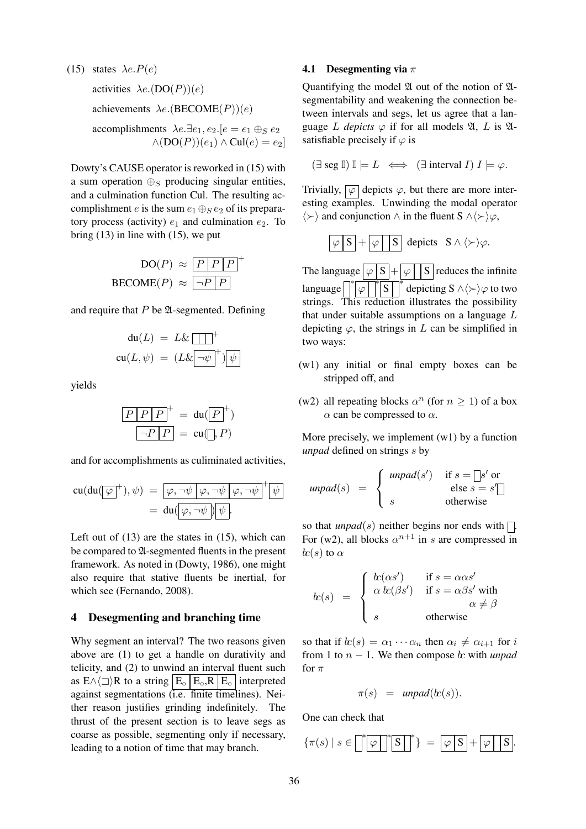(15) states  $\lambda e.P(e)$ activities  $\lambda e. (DO(P))(e)$ achievements  $\lambda e$ . (BECOME(P))(e) accomplishments  $\lambda e.\exists e_1, e_2.\{e = e_1 \oplus_S e_2\}$  $\wedge (DO(P))(e_1) \wedge Cul(e) = e_2$ 

Dowty's CAUSE operator is reworked in (15) with a sum operation  $\bigoplus_{S}$  producing singular entities, and a culmination function Cul. The resulting accomplishment e is the sum  $e_1 \oplus_S e_2$  of its preparatory process (activity)  $e_1$  and culmination  $e_2$ . To bring  $(13)$  in line with  $(15)$ , we put

$$
DO(P) \approx \boxed{P \mid P \mid P}^{+}
$$
  
BECOMP(P) 
$$
\approx \boxed{\neg P \mid P}
$$

and require that  $P$  be  $\mathfrak A$ -segmented. Defining

$$
du(L) = L\&\boxed{1}
$$
  
 
$$
cu(L, \psi) = (L\&\boxed{-\psi}^+)\boxed{\psi}
$$

yields

$$
\frac{P|P|P|}{\neg P|P} = \text{du}(\boxed{P}^+)
$$

$$
\boxed{\neg P|P} = \text{cu}(\boxed{P}, P)
$$

and for accomplishments as culiminated activities,

$$
cu(du(\overline{\varphi}^+), \psi) = \overline{\varphi, \neg \psi \varphi, \neg \psi \varphi, \neg \psi}^+ \psi
$$
  
= 
$$
du(\overline{\varphi, \neg \psi}) \psi.
$$

Left out of  $(13)$  are the states in  $(15)$ , which can be compared to  $\mathfrak A$ -segmented fluents in the present framework. As noted in (Dowty, 1986), one might also require that stative fluents be inertial, for which see (Fernando, 2008).

# 4 Desegmenting and branching time

Why segment an interval? The two reasons given above are (1) to get a handle on durativity and telicity, and (2) to unwind an interval fluent such as  $E \wedge \langle \square \rangle R$  to a string  $|E_{\circ}|E_{\circ}, R|E_{\circ}|$  interpreted against segmentations (i.e. finite timelines). Neither reason justifies grinding indefinitely. The thrust of the present section is to leave segs as coarse as possible, segmenting only if necessary, leading to a notion of time that may branch.

#### 4.1 Desegmenting via  $\pi$

Quantifying the model  $\mathfrak A$  out of the notion of  $\mathfrak A$ segmentability and weakening the connection between intervals and segs, let us agree that a language L *depicts*  $\varphi$  if for all models  $\mathfrak{A}, L$  is  $\mathfrak{A}$ satisfiable precisely if  $\varphi$  is

$$
(\exists \text{ seg } \mathbb{I}) \mathbb{I} \models L \iff (\exists \text{ interval } I) I \models \varphi.
$$

Trivially,  $\boxed{\varphi}$  depicts  $\varphi$ , but there are more interesting examples. Unwinding the modal operator  $\langle \rangle$  and conjunction ∧ in the fluent S ∧ $\langle \rangle$ \ $\varphi$ ,

$$
\boxed{\varphi \,|\,S\,} + \boxed{\varphi \,|\, \,S\,} \text{ depicts } S \wedge \langle \succ \rangle \varphi.
$$

The language  $\sqrt{\vert S \vert + \vert \varphi \vert}$  S reduces the infinite language  $\sqrt{\frac{4}{\varphi}}$  $\sqrt[∗ \cdot \cdot \cdot }$  depicting S ∧ $\langle \rangle \varphi$  to two strings. This reduction illustrates the possibility that under suitable assumptions on a language L depicting  $\varphi$ , the strings in L can be simplified in two ways:

- (w1) any initial or final empty boxes can be stripped off, and
- (w2) all repeating blocks  $\alpha^n$  (for  $n \ge 1$ ) of a box  $\alpha$  can be compressed to  $\alpha$ .

More precisely, we implement  $(w1)$  by a function *unpad* defined on strings s by

$$
unpad(s) = \begin{cases} unpad(s') & \text{if } s = \Box s' \text{ or} \\ s & \text{else } s = s' \Box \end{cases}
$$

so that *unpad*(s) neither begins nor ends with  $\Box$ . For (w2), all blocks  $\alpha^{n+1}$  in s are compressed in  $\ln(s)$  to  $\alpha$ 

$$
k(s) = \begin{cases} k(\alpha s') & \text{if } s = \alpha \alpha s' \\ \alpha k(\beta s') & \text{if } s = \alpha \beta s' \text{ with } \\ s & \text{otherwise} \end{cases}
$$

so that if  $\alpha(s) = \alpha_1 \cdots \alpha_n$  then  $\alpha_i \neq \alpha_{i+1}$  for i from 1 to  $n - 1$ . We then compose  $\&$  with *unpad* for  $\pi$ 

$$
\pi(s) = \text{unpad}(k(s)).
$$

One can check that

{π(s) | s ∈ ∗ ϕ ∗ S ∗ } = ϕ S + ϕ S .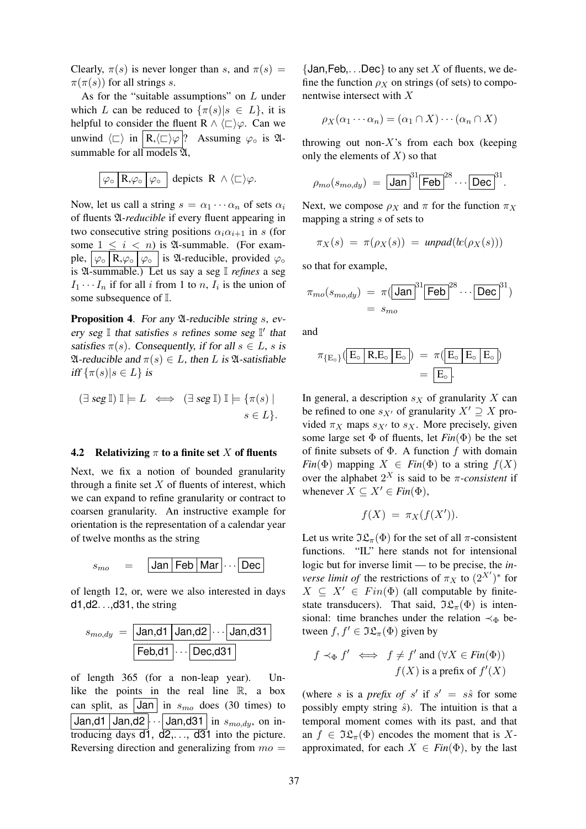Clearly,  $\pi(s)$  is never longer than s, and  $\pi(s)$  =  $\pi(\pi(s))$  for all strings s.

As for the "suitable assumptions" on L under which L can be reduced to  $\{\pi(s)|s \in L\}$ , it is helpful to consider the fluent R  $\land \langle \sqsubset \rangle \varphi$ . Can we unwind  $\langle \square \rangle$  in  $\langle R,\langle \square \rangle \varphi |$ ? Assuming  $\varphi_{\circ}$  is  $\mathfrak{A}$ summable for all models  $\overline{2}l$ ,

$$
\boxed{\varphi\circ\Bigl[\,R,\varphi\circ\Bigl]\,\varphi\circ\Bigl]\, \text{ depicts }\, R\ \wedge\,\langle\sqsubset\rangle\varphi.}
$$

Now, let us call a string  $s = \alpha_1 \cdots \alpha_n$  of sets  $\alpha_i$ of fluents A*-reducible* if every fluent appearing in two consecutive string positions  $\alpha_i \alpha_{i+1}$  in s (for some  $1 \leq i \leq n$ ) is  $\mathfrak{A}$ -summable. (For example,  $\varphi_{\circ}$  R, $\varphi_{\circ}$   $\varphi_{\circ}$  is  $\mathfrak{A}$ -reducible, provided  $\varphi_{\circ}$ is A-summable.) Let us say a seg I *refines* a seg  $I_1 \cdots I_n$  if for all i from 1 to n,  $I_i$  is the union of some subsequence of I.

**Proposition 4.** For any  $\mathfrak{A}$ -reducible string s, every seg  $\mathbb I$  that satisfies s refines some seg  $\mathbb I'$  that satisfies  $\pi(s)$ . Consequently, if for all  $s \in L$ , s is  $\mathfrak A$ -reducible and  $\pi(s) \in L$ , then L is  $\mathfrak A$ -satisfiable iff  $\{\pi(s)|s\in L\}$  is

$$
(\exists \text{ seg } \mathbb{I}) \mathbb{I} \models L \iff (\exists \text{ seg } \mathbb{I}) \mathbb{I} \models {\{\pi(s) \mid s \in L\}}.
$$

#### 4.2 Relativizing  $\pi$  to a finite set X of fluents

Next, we fix a notion of bounded granularity through a finite set  $X$  of fluents of interest, which we can expand to refine granularity or contract to coarsen granularity. An instructive example for orientation is the representation of a calendar year of twelve months as the string



of length 12, or, were we also interested in days d1,d2. . .,d31, the string

$$
s_{mo,dy} = \boxed{\text{Jan,d1} | \text{Jan,d2} | \cdots \boxed{\text{Jan,d31}}}
$$

$$
\boxed{\text{Feb,d1} | \cdots \boxed{\text{Dec,d31}}}
$$

of length 365 (for a non-leap year). Unlike the points in the real line  $\mathbb{R}$ , a box can split, as  $|Jan|$  in  $s_{mo}$  does (30 times) to Jan,d1 Jan,d2  $\cdots$  Jan,d31 in  $s_{modu}$ , on introducing days  $d_1$ ,  $d_2$ , ...,  $d_3$ <sup>1</sup> into the picture. Reversing direction and generalizing from  $mo =$ 

 $\{Jan, Feb, \ldots Dec\}$  to any set X of fluents, we define the function  $\rho_X$  on strings (of sets) to componentwise intersect with X

$$
\rho_X(\alpha_1 \cdots \alpha_n) = (\alpha_1 \cap X) \cdots (\alpha_n \cap X)
$$

throwing out non- $X$ 's from each box (keeping only the elements of  $X$ ) so that

$$
\rho_{mo}(s_{mo,dy}) = \boxed{\text{Jan}}^{31} \boxed{\text{Feb}}^{28} \cdots \boxed{\text{Dec}}^{31}.
$$

Next, we compose  $\rho_X$  and  $\pi$  for the function  $\pi_X$ mapping a string s of sets to

$$
\pi_X(s) = \pi(\rho_X(s)) = \text{unpad}(k(\rho_X(s)))
$$

so that for example,

$$
\pi_{mo}(s_{mo,dy}) = \pi \left(\boxed{\text{Jan}}\right)^{31} \boxed{\text{Feb}}^{28} \cdots \boxed{\text{Dec}}^{31}
$$

$$
= s_{mo}
$$

and

$$
\begin{aligned} \pi_{\{E_\circ\}}(\boxed{E_\circ \big\vert \, R, & E_\circ \big\vert \, E_\circ} \big) \; = \; \pi(\boxed{E_\circ \big\vert \, E_\circ \big\vert \, E_\circ} \big) \\ & \; = \; \boxed{E_\circ}. \end{aligned}
$$

In general, a description  $s<sub>X</sub>$  of granularity X can be refined to one  $s_{X'}$  of granularity  $X' \supseteq X$  provided  $\pi_X$  maps  $s_{X'}$  to  $s_X$ . More precisely, given some large set  $\Phi$  of fluents, let  $Fin(\Phi)$  be the set of finite subsets of  $\Phi$ . A function f with domain *Fin*( $\Phi$ ) mapping  $X \in Fin(\Phi)$  to a string  $f(X)$ over the alphabet  $2^X$  is said to be  $\pi$ -consistent if whenever  $X \subseteq X' \in Fin(\Phi)$ ,

$$
f(X) = \pi_X(f(X')).
$$

Let us write  $\Im \mathfrak{L}_{\pi}(\Phi)$  for the set of all  $\pi$ -consistent functions. "IL" here stands not for intensional logic but for inverse limit — to be precise, the *inverse limit of* the restrictions of  $\pi_X$  to  $(2^{X'})^*$  for  $X \subseteq X' \in Fin(\Phi)$  (all computable by finitestate transducers). That said,  $\Im \mathfrak{L}_{\pi}(\Phi)$  is intensional: time branches under the relation  $\prec_{\Phi}$  between  $f, f' \in \Im \mathfrak{L}_{\pi}(\Phi)$  given by

$$
f \prec_{\Phi} f' \iff f \neq f'
$$
 and  $(\forall X \in Fin(\Phi))$   
 $f(X)$  is a prefix of  $f'(X)$ 

(where s is a *prefix of* s' if  $s' = s\hat{s}$  for some possibly empty string  $\hat{s}$ ). The intuition is that a temporal moment comes with its past, and that an  $f \in \Im \mathfrak{L}_{\pi}(\Phi)$  encodes the moment that is Xapproximated, for each  $X \in Fin(\Phi)$ , by the last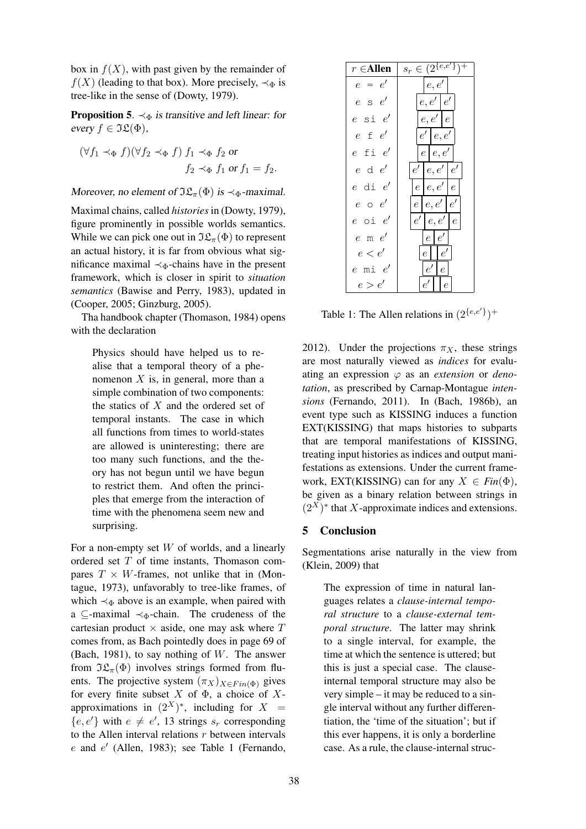box in  $f(X)$ , with past given by the remainder of  $f(X)$  (leading to that box). More precisely,  $\prec_{\Phi}$  is tree-like in the sense of (Dowty, 1979).

**Proposition 5.**  $\prec_{\Phi}$  is transitive and left linear: for every  $f \in \Im \mathfrak{L}(\Phi)$ ,

$$
(\forall f_1 \prec_{\Phi} f)(\forall f_2 \prec_{\Phi} f) f_1 \prec_{\Phi} f_2 \text{ or}
$$
  

$$
f_2 \prec_{\Phi} f_1 \text{ or } f_1 = f_2.
$$

Moreover, no element of  $\Im \mathfrak{L}_{\pi}(\Phi)$  is  $\prec_{\Phi}$ -maximal.

Maximal chains, called *histories*in (Dowty, 1979), figure prominently in possible worlds semantics. While we can pick one out in  $\Im \mathfrak{L}_{\pi}(\Phi)$  to represent an actual history, it is far from obvious what significance maximal  $\prec_{\Phi}$ -chains have in the present framework, which is closer in spirit to *situation semantics* (Bawise and Perry, 1983), updated in (Cooper, 2005; Ginzburg, 2005).

Tha handbook chapter (Thomason, 1984) opens with the declaration

Physics should have helped us to realise that a temporal theory of a phenomenon  $X$  is, in general, more than a simple combination of two components: the statics of  $X$  and the ordered set of temporal instants. The case in which all functions from times to world-states are allowed is uninteresting; there are too many such functions, and the theory has not begun until we have begun to restrict them. And often the principles that emerge from the interaction of time with the phenomena seem new and surprising.

For a non-empty set  $W$  of worlds, and a linearly ordered set  $T$  of time instants, Thomason compares  $T \times W$ -frames, not unlike that in (Montague, 1973), unfavorably to tree-like frames, of which  $\prec_{\Phi}$  above is an example, when paired with a  $\subseteq$ -maximal  $\prec_{\Phi}$ -chain. The crudeness of the cartesian product  $\times$  aside, one may ask where  $T$ comes from, as Bach pointedly does in page 69 of (Bach, 1981), to say nothing of W. The answer from  $\Im \mathfrak{L}_{\pi}(\Phi)$  involves strings formed from fluents. The projective system  $(\pi_X)_{X \in Fin(\Phi)}$  gives for every finite subset X of  $\Phi$ , a choice of Xapproximations in  $(2^X)^*$ , including for  $X =$  ${e, e'}$  with  $e \neq e'$ , 13 strings  $s_r$  corresponding to the Allen interval relations  $r$  between intervals  $e$  and  $e'$  (Allen, 1983); see Table 1 (Fernando,

| $r \in$ Allen                                 | $s_r \in (2^{\{e,e'\}\}$        |
|-----------------------------------------------|---------------------------------|
| $e = e'$                                      | e,e'                            |
| $e \mathrel{\mathop{\mathsf{S}}\nolimits} e'$ | e, e'   e'                      |
| $e$ si $e^\prime$                             | e, e'   e                       |
| $e \text{ f } e'$                             | $\mid e'\mid e,e'$              |
| $e$ fi $e^\prime$                             | $e\, \,e,e'\, $                 |
| $e$ d $e'$                                    | e'   e, e'   e'                 |
| $e$ di $e^{\prime}$                           | $e\, \,e,e'\, \,e$              |
| $e \circ e'$                                  | $e\mid e,e'\mid e'$             |
| $e$ oi $e^\prime$                             | e'   e, e'   e                  |
| $e$ m $e'$                                    | $e \mid e'$                     |
| e < e'                                        | e'<br>$\epsilon$                |
| $e$ mi $e^\prime$                             | $e^{\prime}$<br>$\epsilon$      |
| e>e'                                          | $e'$ $\vdash$<br>$\overline{e}$ |

Table 1: The Allen relations in  $(2^{\{e,e'\}})^+$ 

2012). Under the projections  $\pi_X$ , these strings are most naturally viewed as *indices* for evaluating an expression  $\varphi$  as an *extension* or *denotation*, as prescribed by Carnap-Montague *intensions* (Fernando, 2011). In (Bach, 1986b), an event type such as KISSING induces a function EXT(KISSING) that maps histories to subparts that are temporal manifestations of KISSING, treating input histories as indices and output manifestations as extensions. Under the current framework, EXT(KISSING) can for any  $X \in Fin(\Phi)$ , be given as a binary relation between strings in  $(2<sup>X</sup>)^*$  that X-approximate indices and extensions.

# 5 Conclusion

Segmentations arise naturally in the view from (Klein, 2009) that

The expression of time in natural languages relates a *clause-internal temporal structure* to a *clause-external temporal structure*. The latter may shrink to a single interval, for example, the time at which the sentence is uttered; but this is just a special case. The clauseinternal temporal structure may also be very simple – it may be reduced to a single interval without any further differentiation, the 'time of the situation'; but if this ever happens, it is only a borderline case. As a rule, the clause-internal struc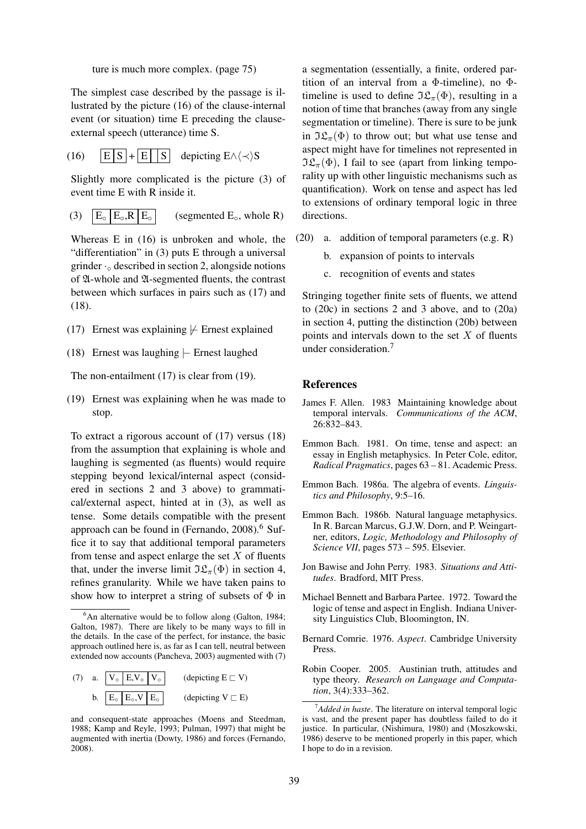ture is much more complex. (page 75)

The simplest case described by the passage is illustrated by the picture (16) of the clause-internal event (or situation) time E preceding the clauseexternal speech (utterance) time S.

(16)  $|E|S| + |E| |S|$  depicting  $E \wedge \langle \prec \rangle S$ 

Slightly more complicated is the picture (3) of event time E with R inside it.

(3)  $|E_{\circ}|E_{\circ}R|E_{\circ}|$  (segmented  $E_{\circ}$ , whole R)

Whereas E in (16) is unbroken and whole, the "differentiation" in (3) puts E through a universal grinder  $\cdot_{\circ}$  described in section 2, alongside notions of A-whole and A-segmented fluents, the contrast between which surfaces in pairs such as (17) and (18).

- (17) Ernest was explaining  $\frac{1}{r}$  Ernest explained
- (18) Ernest was laughing |− Ernest laughed

The non-entailment (17) is clear from (19).

(19) Ernest was explaining when he was made to stop.

To extract a rigorous account of (17) versus (18) from the assumption that explaining is whole and laughing is segmented (as fluents) would require stepping beyond lexical/internal aspect (considered in sections 2 and 3 above) to grammatical/external aspect, hinted at in (3), as well as tense. Some details compatible with the present approach can be found in (Fernando,  $2008$ ).<sup>6</sup> Suffice it to say that additional temporal parameters from tense and aspect enlarge the set  $X$  of fluents that, under the inverse limit  $\Im \mathfrak{L}_{\pi}(\Phi)$  in section 4, refines granularity. While we have taken pains to show how to interpret a string of subsets of  $\Phi$  in

 $6$ An alternative would be to follow along (Galton, 1984; Galton, 1987). There are likely to be many ways to fill in the details. In the case of the perfect, for instance, the basic approach outlined here is, as far as I can tell, neutral between extended now accounts (Pancheva, 2003) augmented with (7)

| (7) | a. $\boxed{V_{\circ} \boxed{E,V_{\circ}}} V_{\circ}$ |  | (depicting $E \sqsubset V$ ) |
|-----|------------------------------------------------------|--|------------------------------|
|     | b. $E_0$ $E_0$ , $V$ $E_0$                           |  | (depicting $V \sqsubset E$ ) |

and consequent-state approaches (Moens and Steedman, 1988; Kamp and Reyle, 1993; Pulman, 1997) that might be augmented with inertia (Dowty, 1986) and forces (Fernando, 2008).

a segmentation (essentially, a finite, ordered partition of an interval from a  $\Phi$ -timeline), no  $\Phi$ timeline is used to define  $\Im \mathfrak{L}_{\pi}(\Phi)$ , resulting in a notion of time that branches (away from any single segmentation or timeline). There is sure to be junk in  $\Im \mathfrak{L}_{\pi}(\Phi)$  to throw out; but what use tense and aspect might have for timelines not represented in  $\Im \mathfrak{L}_{\pi}(\Phi)$ , I fail to see (apart from linking temporality up with other linguistic mechanisms such as quantification). Work on tense and aspect has led to extensions of ordinary temporal logic in three directions.

- (20) a. addition of temporal parameters (e.g. R)
	- b. expansion of points to intervals
	- c. recognition of events and states

Stringing together finite sets of fluents, we attend to (20c) in sections 2 and 3 above, and to (20a) in section 4, putting the distinction (20b) between points and intervals down to the set  $X$  of fluents under consideration.<sup>7</sup>

#### **References**

- James F. Allen. 1983 Maintaining knowledge about temporal intervals. *Communications of the ACM*, 26:832–843.
- Emmon Bach. 1981. On time, tense and aspect: an essay in English metaphysics. In Peter Cole, editor, *Radical Pragmatics*, pages 63 – 81. Academic Press.
- Emmon Bach. 1986a. The algebra of events. *Linguistics and Philosophy*, 9:5–16.
- Emmon Bach. 1986b. Natural language metaphysics. In R. Barcan Marcus, G.J.W. Dorn, and P. Weingartner, editors, *Logic, Methodology and Philosophy of Science VII*, pages 573 – 595. Elsevier.
- Jon Bawise and John Perry. 1983. *Situations and Attitudes*. Bradford, MIT Press.
- Michael Bennett and Barbara Partee. 1972. Toward the logic of tense and aspect in English. Indiana University Linguistics Club, Bloomington, IN.
- Bernard Comrie. 1976. *Aspect*. Cambridge University Press.
- Robin Cooper. 2005. Austinian truth, attitudes and type theory. *Research on Language and Computation*, 3(4):333–362.

<sup>7</sup>*Added in haste*. The literature on interval temporal logic is vast, and the present paper has doubtless failed to do it justice. In particular, (Nishimura, 1980) and (Moszkowski, 1986) deserve to be mentioned properly in this paper, which I hope to do in a revision.